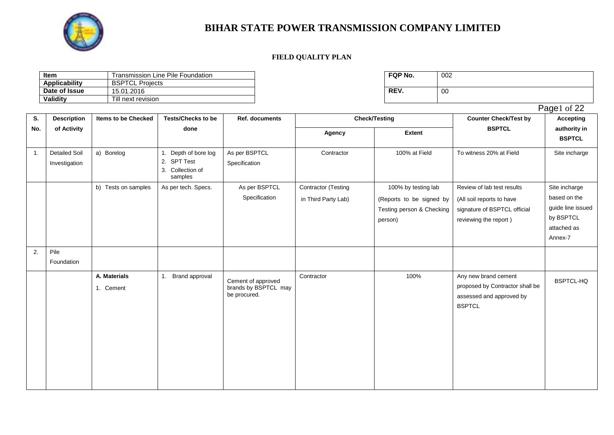

### **FIELD QUALITY PLAN**

| Transmission Line Pile Foundation<br>ltem |                        | FQP No. | 002 |
|-------------------------------------------|------------------------|---------|-----|
| <b>Applicability</b>                      | <b>BSPTCL Projects</b> |         |     |
| Date of Issue                             | 15.01.2016             | REV.    | 00  |
| Validity                                  | Till next revision     |         |     |

| FQP No. | 002 |
|---------|-----|
| REV.    | 00  |

Page1 of 22

| S.             | <b>Description</b>                    | <b>Items to be Checked</b> | <b>Tests/Checks to be</b>                                          | Ref. documents                                             | <b>Check/Testing</b>                       |                                                                                         | <b>Counter Check/Test by</b>                                                                                     | <b>Accepting</b>                                                                          |
|----------------|---------------------------------------|----------------------------|--------------------------------------------------------------------|------------------------------------------------------------|--------------------------------------------|-----------------------------------------------------------------------------------------|------------------------------------------------------------------------------------------------------------------|-------------------------------------------------------------------------------------------|
| No.            | of Activity                           |                            | done                                                               |                                                            | Agency                                     | <b>Extent</b>                                                                           | <b>BSPTCL</b>                                                                                                    | authority in<br><b>BSPTCL</b>                                                             |
| $\mathbf{1}$ . | <b>Detailed Soil</b><br>Investigation | a) Borelog                 | 1. Depth of bore log<br>2. SPT Test<br>3. Collection of<br>samples | As per BSPTCL<br>Specification                             | Contractor                                 | 100% at Field                                                                           | To witness 20% at Field                                                                                          | Site incharge                                                                             |
|                |                                       | b) Tests on samples        | As per tech. Specs.                                                | As per BSPTCL<br>Specification                             | Contractor (Testing<br>in Third Party Lab) | 100% by testing lab<br>(Reports to be signed by<br>Testing person & Checking<br>person) | Review of lab test results<br>(All soil reports to have<br>signature of BSPTCL official<br>reviewing the report) | Site incharge<br>based on the<br>guide line issued<br>by BSPTCL<br>attached as<br>Annex-7 |
| 2.             | Pile<br>Foundation                    |                            |                                                                    |                                                            |                                            |                                                                                         |                                                                                                                  |                                                                                           |
|                |                                       | A. Materials<br>1. Cement  | 1.<br>Brand approval                                               | Cement of approved<br>brands by BSPTCL may<br>be procured. | Contractor                                 | 100%                                                                                    | Any new brand cement<br>proposed by Contractor shall be<br>assessed and approved by<br><b>BSPTCL</b>             | BSPTCL-HQ                                                                                 |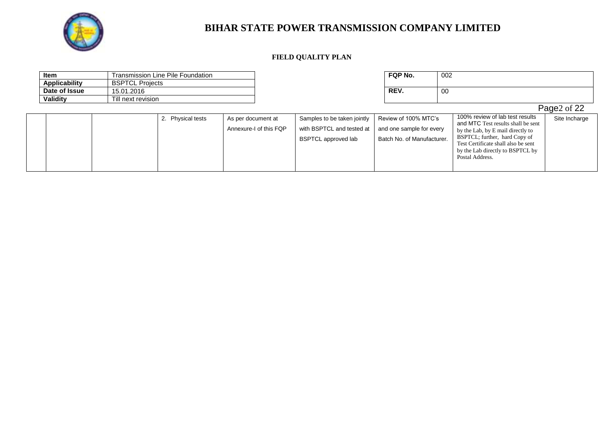

### **FIELD QUALITY PLAN**

| <b>Item</b>          |                        | Transmission Line Pile Foundation |                                              |                                                                                 | FQP No.                                                                        | 002                                                                                                                                                                                                                                       |               |
|----------------------|------------------------|-----------------------------------|----------------------------------------------|---------------------------------------------------------------------------------|--------------------------------------------------------------------------------|-------------------------------------------------------------------------------------------------------------------------------------------------------------------------------------------------------------------------------------------|---------------|
| <b>Applicability</b> | <b>BSPTCL Projects</b> |                                   |                                              |                                                                                 |                                                                                |                                                                                                                                                                                                                                           |               |
| Date of Issue        | 15.01.2016             |                                   |                                              |                                                                                 | REV.                                                                           | 00                                                                                                                                                                                                                                        |               |
| Validity             | Till next revision     |                                   |                                              |                                                                                 |                                                                                |                                                                                                                                                                                                                                           |               |
|                      |                        |                                   |                                              |                                                                                 |                                                                                |                                                                                                                                                                                                                                           | Page2 of 22   |
|                      |                        | 2. Physical tests                 | As per document at<br>Annexure-I of this FQP | Samples to be taken jointly<br>with BSPTCL and tested at<br>BSPTCL approved lab | Review of 100% MTC's<br>and one sample for every<br>Batch No. of Manufacturer. | 100% review of lab test results<br>and MTC Test results shall be sent<br>by the Lab, by E mail directly to<br>BSPTCL; further, hard Copy of<br>Test Certificate shall also be sent<br>by the Lab directly to BSPTCL by<br>Postal Address. | Site Incharge |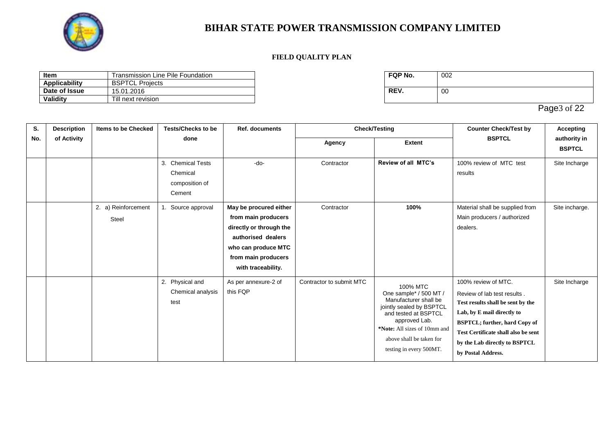

### **FIELD QUALITY PLAN**

| Item          | Transmission Line Pile Foundation | <b>FQP No.</b> | 002 |
|---------------|-----------------------------------|----------------|-----|
| Applicability | <b>BSPTCL</b><br>Proiects         |                |     |
| Date of Issue | 15.01.2016                        | REV.           | 00  |
| Validity      | Till next revision                |                |     |

| FQP No. | 002 |
|---------|-----|
| REV.    | 00  |

Page3 of 22

| S.  | <b>Description</b> | <b>Items to be Checked</b>   | <b>Tests/Checks to be</b>                                 | <b>Ref. documents</b>                                                                                                                                              |                          | <b>Check/Testing</b>                                                                                                                                                                                                    | <b>Counter Check/Test by</b>                                                                                                                                                                                                                                | <b>Accepting</b>              |
|-----|--------------------|------------------------------|-----------------------------------------------------------|--------------------------------------------------------------------------------------------------------------------------------------------------------------------|--------------------------|-------------------------------------------------------------------------------------------------------------------------------------------------------------------------------------------------------------------------|-------------------------------------------------------------------------------------------------------------------------------------------------------------------------------------------------------------------------------------------------------------|-------------------------------|
| No. | of Activity        |                              | done                                                      |                                                                                                                                                                    | Agency                   | <b>Extent</b>                                                                                                                                                                                                           | <b>BSPTCL</b>                                                                                                                                                                                                                                               | authority in<br><b>BSPTCL</b> |
|     |                    |                              | 3. Chemical Tests<br>Chemical<br>composition of<br>Cement | $-do-$                                                                                                                                                             | Contractor               | Review of all MTC's                                                                                                                                                                                                     | 100% review of MTC test<br>results                                                                                                                                                                                                                          | Site Incharge                 |
|     |                    | 2. a) Reinforcement<br>Steel | 1. Source approval                                        | May be procured either<br>from main producers<br>directly or through the<br>authorised dealers<br>who can produce MTC<br>from main producers<br>with traceability. | Contractor               | 100%                                                                                                                                                                                                                    | Material shall be supplied from<br>Main producers / authorized<br>dealers.                                                                                                                                                                                  | Site incharge.                |
|     |                    |                              | 2. Physical and<br>Chemical analysis<br>test              | As per annexure-2 of<br>this FQP                                                                                                                                   | Contractor to submit MTC | 100% MTC<br>One sample* / 500 MT /<br>Manufacturer shall be<br>jointly sealed by BSPTCL<br>and tested at BSPTCL<br>approved Lab.<br>*Note: All sizes of 10mm and<br>above shall be taken for<br>testing in every 500MT. | 100% review of MTC.<br>Review of lab test results.<br>Test results shall be sent by the<br>Lab, by E mail directly to<br><b>BSPTCL; further, hard Copy of</b><br>Test Certificate shall also be sent<br>by the Lab directly to BSPTCL<br>by Postal Address. | Site Incharge                 |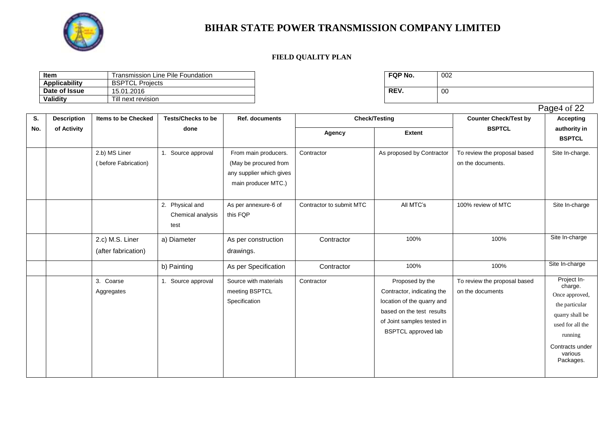

#### **FIELD QUALITY PLAN**

| ltem<br>Line Pile Foundation<br>Transmission |                           | FQP No. | 002 |
|----------------------------------------------|---------------------------|---------|-----|
| <b>Applicability</b>                         | <b>BSPTCL</b><br>Projects |         |     |
| Date of Issue                                | 15.01.2016                | REV.    | 00  |
| Validity                                     | Till next revision        |         |     |

| FQP No. | 002 |
|---------|-----|
| REV.    | 00  |

**S. No. Description of Activity Items to be Checked Tests/Checks to be done Ref. documents Check/Testing Counter Check/Test by BSPTCL Accepting authority in BSPTCL Agency Extent** 2.b) MS Liner ( before Fabrication) 1. Source approval From main producers. (May be procured from any supplier which gives main producer MTC.) Contractor As proposed by Contractor To review the proposal based on the documents. Site In-charge. 2. Physical and Chemical analysis test As per annexure-6 of this FQP Contractor to submit MTC | All MTC's | 100% review of MTC | Site In-charge 2.c) M.S. Liner (after fabrication) a) Diameter As per construction drawings. Contractor | 100% 100% 100% Site In-charge b) Painting As per Specification Contractor 100% 100% 100% Site In-charge 3. Coarse Aggregates 1. Source approval Source with materials meeting BSPTCL **Specification** Contractor **Proposed by the** Contractor, indicating the location of the quarry and based on the test results of Joint samples tested in BSPTCL approved lab To review the proposal based on the documents Project Incharge. Once approved, the particular quarry shall be used for all the running

Page4 of 22

Contracts under various Packages.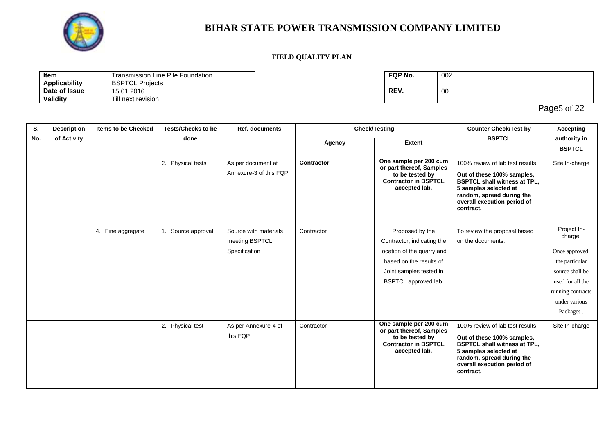

### **FIELD QUALITY PLAN**

| Item          | Transmission Line Pile Foundation | <b>FQP No.</b> | 002 |
|---------------|-----------------------------------|----------------|-----|
| Applicability | <b>BSPTCL</b><br>Proiects         |                |     |
| Date of Issue | 15.01.2016                        | REV.           | 00  |
| Validity      | Till next revision                |                |     |

| FQP No. | 002 |
|---------|-----|
| REV.    | 00  |

Page5 of 22

| S.  | <b>Description</b> | <b>Items to be Checked</b> | <b>Tests/Checks to be</b> | <b>Ref. documents</b>                                    | <b>Check/Testing</b> |                                                                                                                                                           | <b>Counter Check/Test by</b>                                                                                                                                                                           | <b>Accepting</b>                                                                                                                                     |
|-----|--------------------|----------------------------|---------------------------|----------------------------------------------------------|----------------------|-----------------------------------------------------------------------------------------------------------------------------------------------------------|--------------------------------------------------------------------------------------------------------------------------------------------------------------------------------------------------------|------------------------------------------------------------------------------------------------------------------------------------------------------|
| No. | of Activity        |                            | done                      |                                                          | Agency               | <b>Extent</b>                                                                                                                                             | <b>BSPTCL</b>                                                                                                                                                                                          | authority in<br><b>BSPTCL</b>                                                                                                                        |
|     |                    |                            | 2. Physical tests         | As per document at<br>Annexure-3 of this FQP             | Contractor           | One sample per 200 cum<br>or part thereof, Samples<br>to be tested by<br><b>Contractor in BSPTCL</b><br>accepted lab.                                     | 100% review of lab test results<br>Out of these 100% samples,<br><b>BSPTCL shall witness at TPL,</b><br>5 samples selected at<br>random, spread during the<br>overall execution period of<br>contract. | Site In-charge                                                                                                                                       |
|     |                    | 4. Fine aggregate          | 1. Source approval        | Source with materials<br>meeting BSPTCL<br>Specification | Contractor           | Proposed by the<br>Contractor, indicating the<br>location of the quarry and<br>based on the results of<br>Joint samples tested in<br>BSPTCL approved lab. | To review the proposal based<br>on the documents.                                                                                                                                                      | Project In-<br>charge.<br>Once approved,<br>the particular<br>source shall be<br>used for all the<br>running contracts<br>under various<br>Packages. |
|     |                    |                            | 2. Physical test          | As per Annexure-4 of<br>this FQP                         | Contractor           | One sample per 200 cum<br>or part thereof, Samples<br>to be tested by<br><b>Contractor in BSPTCL</b><br>accepted lab.                                     | 100% review of lab test results<br>Out of these 100% samples,<br><b>BSPTCL shall witness at TPL,</b><br>5 samples selected at<br>random, spread during the<br>overall execution period of<br>contract. | Site In-charge                                                                                                                                       |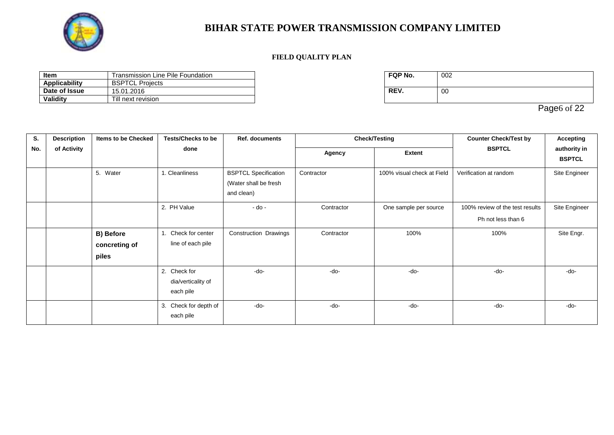

### **FIELD QUALITY PLAN**

| Item          | Transmission Line Pile Foundation | <b>FQP No.</b> | 002 |
|---------------|-----------------------------------|----------------|-----|
| Applicability | <b>BSPTCLF</b><br>Proiects        |                |     |
| Date of Issue | 15.01.2016                        | REV.           | 00  |
| Validity      | Till next revision                |                |     |

| FQP No. | 002 |
|---------|-----|
| REV.    | 00  |

Page6 of 22

| S.  | <b>Description</b> | Items to be Checked                 | <b>Tests/Checks to be</b>                       | <b>Ref. documents</b>                                              | <b>Check/Testing</b> |                            | <b>Counter Check/Test by</b>                          | <b>Accepting</b>              |
|-----|--------------------|-------------------------------------|-------------------------------------------------|--------------------------------------------------------------------|----------------------|----------------------------|-------------------------------------------------------|-------------------------------|
| No. | of Activity        |                                     | done                                            |                                                                    | Agency               | <b>Extent</b>              | <b>BSPTCL</b>                                         | authority in<br><b>BSPTCL</b> |
|     |                    | 5. Water                            | 1. Cleanliness                                  | <b>BSPTCL Specification</b><br>(Water shall be fresh<br>and clean) | Contractor           | 100% visual check at Field | Verification at random                                | Site Engineer                 |
|     |                    |                                     | 2. PH Value                                     | $-do -$                                                            | Contractor           | One sample per source      | 100% review of the test results<br>Ph not less than 6 | Site Engineer                 |
|     |                    | B) Before<br>concreting of<br>piles | Check for center<br>line of each pile           | Construction Drawings                                              | Contractor           | 100%                       | 100%                                                  | Site Engr.                    |
|     |                    |                                     | 2. Check for<br>dia/verticality of<br>each pile | $-do-$                                                             | -do-                 | -do-                       | $-do-$                                                | $-do-$                        |
|     |                    |                                     | 3. Check for depth of<br>each pile              | -do-                                                               | $-do-$               | $-do-$                     | -do-                                                  | $-do-$                        |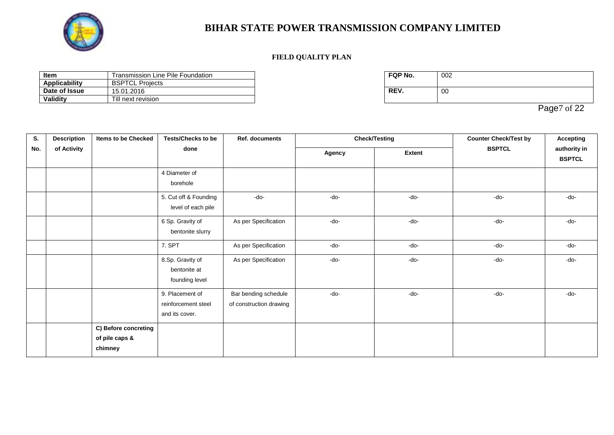

### **FIELD QUALITY PLAN**

| Item<br>Line Pile Foundation<br>Transmission |                            | <b>FQP No.</b> | 002 |
|----------------------------------------------|----------------------------|----------------|-----|
| Applicability                                | <b>BSPTCLP</b><br>Proiects |                |     |
| Date of Issue                                | 15.01.2016                 | REV.           | 00  |
| Validity                                     | Till next revision         |                |     |

| FQP No. | 002 |
|---------|-----|
| REV.    | 00  |

Page7 of 22

| S.  | <b>Description</b> | Items to be Checked                               | <b>Tests/Checks to be</b>                                | <b>Ref. documents</b>                           |        | <b>Check/Testing</b> |               | <b>Accepting</b> |                               |
|-----|--------------------|---------------------------------------------------|----------------------------------------------------------|-------------------------------------------------|--------|----------------------|---------------|------------------|-------------------------------|
| No. | of Activity        |                                                   |                                                          | done                                            |        | Agency               | <b>Extent</b> | <b>BSPTCL</b>    | authority in<br><b>BSPTCL</b> |
|     |                    |                                                   | 4 Diameter of<br>borehole                                |                                                 |        |                      |               |                  |                               |
|     |                    |                                                   | 5. Cut off & Founding<br>level of each pile              | -do-                                            | -do-   | -do-                 | -do-          | $-do-$           |                               |
|     |                    |                                                   | 6 Sp. Gravity of<br>bentonite slurry                     | As per Specification                            | $-do-$ | $-do-$               | -do-          | $-do-$           |                               |
|     |                    |                                                   | 7. SPT                                                   | As per Specification                            | -do-   | $-do-$               | -do-          | $-do-$           |                               |
|     |                    |                                                   | 8.Sp. Gravity of<br>bentonite at<br>founding level       | As per Specification                            | -do-   | -do-                 | -do-          | -do-             |                               |
|     |                    |                                                   | 9. Placement of<br>reinforcement steel<br>and its cover. | Bar bending schedule<br>of construction drawing | -do-   | $-do-$               | $-do-$        | $-do-$           |                               |
|     |                    | C) Before concreting<br>of pile caps &<br>chimney |                                                          |                                                 |        |                      |               |                  |                               |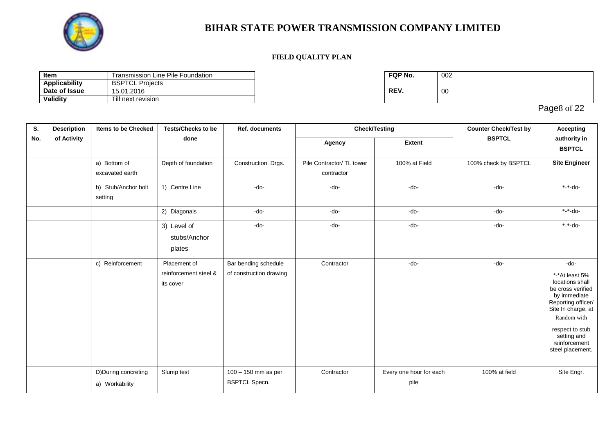

### **FIELD QUALITY PLAN**

| Item          | Transmission Line Pile Foundation | <b>FQP No.</b> | 002 |
|---------------|-----------------------------------|----------------|-----|
| Applicability | <b>BSPTCL</b><br>Proiects         |                |     |
| Date of Issue | 15.01.2016                        | REV.           | 00  |
| Validity      | Till next revision                |                |     |

| FQP No. | 002 |
|---------|-----|
| REV.    | 00  |

Page8 of 22

| S.  | <b>Description</b> | <b>Items to be Checked</b>             | <b>Tests/Checks to be</b>                          | <b>Ref. documents</b>                           | <b>Check/Testing</b>                    |                                 | <b>Counter Check/Test by</b> | <b>Accepting</b>                                                                                                                                                                                                 |
|-----|--------------------|----------------------------------------|----------------------------------------------------|-------------------------------------------------|-----------------------------------------|---------------------------------|------------------------------|------------------------------------------------------------------------------------------------------------------------------------------------------------------------------------------------------------------|
| No. | of Activity        |                                        | done                                               |                                                 | Agency                                  | <b>Extent</b>                   | <b>BSPTCL</b>                | authority in<br><b>BSPTCL</b>                                                                                                                                                                                    |
|     |                    | a) Bottom of<br>excavated earth        | Depth of foundation                                | Construction. Drgs.                             | Pile Contractor/ TL tower<br>contractor | 100% at Field                   | 100% check by BSPTCL         | <b>Site Engineer</b>                                                                                                                                                                                             |
|     |                    | b) Stub/Anchor bolt<br>setting         | 1) Centre Line                                     | -do-                                            | -do-                                    | $-do-$                          | -do-                         | $-$ do-                                                                                                                                                                                                          |
|     |                    |                                        | 2) Diagonals                                       | -do-                                            | -do-                                    | $-do-$                          | $-do-$                       | $* - do - * - d$                                                                                                                                                                                                 |
|     |                    |                                        | 3) Level of<br>stubs/Anchor<br>plates              | $-do-$                                          | -do-                                    | -do-                            | -do-                         | *-*-do-                                                                                                                                                                                                          |
|     |                    | c) Reinforcement                       | Placement of<br>reinforcement steel &<br>its cover | Bar bending schedule<br>of construction drawing | Contractor                              | -do-                            | -do-                         | -do-<br>*-*At least 5%<br>locations shall<br>be cross verified<br>by immediate<br>Reporting officer/<br>Site In charge, at<br>Random with<br>respect to stub<br>setting and<br>reinforcement<br>steel placement. |
|     |                    | D) During concreting<br>a) Workability | Slump test                                         | 100 - 150 mm as per<br><b>BSPTCL Specn.</b>     | Contractor                              | Every one hour for each<br>pile | 100% at field                | Site Engr.                                                                                                                                                                                                       |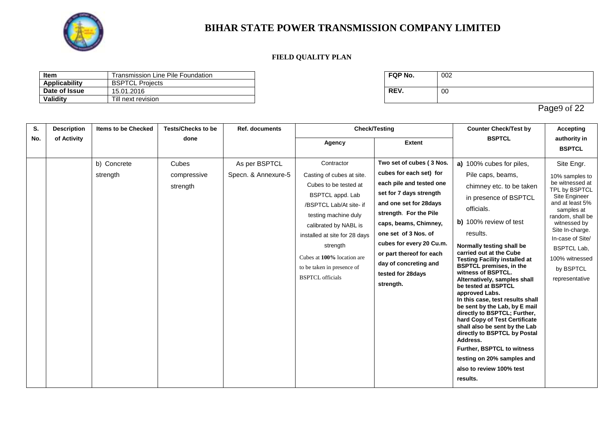

### **FIELD QUALITY PLAN**

| Item          | Transmission Line Pile Foundation | <b>FQP No.</b> | 002 |
|---------------|-----------------------------------|----------------|-----|
| Applicability | <b>BSPTCL</b><br>Proiects         |                |     |
| Date of Issue | 15.01.2016                        | REV.           | 00  |
| Validity      | Till next revision                |                |     |

| FQP No. | 002 |
|---------|-----|
| REV.    | 00  |

Page9 of 22

| S.  | <b>Description</b> | <b>Items to be Checked</b> | <b>Tests/Checks to be</b> | <b>Ref. documents</b> |                               | <b>Check/Testing</b>     | <b>Counter Check/Test by</b>                                    | <b>Accepting</b>                 |
|-----|--------------------|----------------------------|---------------------------|-----------------------|-------------------------------|--------------------------|-----------------------------------------------------------------|----------------------------------|
| No. | of Activity        |                            | done                      |                       | Agency                        | <b>Extent</b>            | <b>BSPTCL</b>                                                   | authority in<br><b>BSPTCL</b>    |
|     |                    |                            |                           |                       |                               |                          |                                                                 |                                  |
|     |                    | b) Concrete                | Cubes                     | As per BSPTCL         | Contractor                    | Two set of cubes (3 Nos. | a) 100% cubes for piles,                                        | Site Engr.                       |
|     |                    | strength                   | compressive               | Specn. & Annexure-5   | Casting of cubes at site.     | cubes for each set) for  | Pile caps, beams,                                               | 10% samples to                   |
|     |                    |                            | strength                  |                       | Cubes to be tested at         | each pile and tested one | chimney etc. to be taken                                        | be witnessed at<br>TPL by BSPTCL |
|     |                    |                            |                           |                       | BSPTCL appd. Lab              | set for 7 days strength  | in presence of BSPTCL                                           | Site Engineer                    |
|     |                    |                            |                           |                       | /BSPTCL Lab/At site- if       | and one set for 28 days  | officials.                                                      | and at least 5%<br>samples at    |
|     |                    |                            |                           |                       | testing machine duly          | strength. For the Pile   |                                                                 | random, shall be                 |
|     |                    |                            |                           |                       | calibrated by NABL is         | caps, beams, Chimney,    | b) 100% review of test                                          | witnessed by<br>Site In-charge.  |
|     |                    |                            |                           |                       | installed at site for 28 days | one set of 3 Nos. of     | results.                                                        | In-case of Site/                 |
|     |                    |                            |                           |                       | strength                      | cubes for every 20 Cu.m. | Normally testing shall be                                       | <b>BSPTCL Lab,</b>               |
|     |                    |                            |                           |                       | Cubes at 100% location are    | or part thereof for each | carried out at the Cube<br><b>Testing Facility installed at</b> | 100% witnessed                   |
|     |                    |                            |                           |                       | to be taken in presence of    | day of concreting and    | <b>BSPTCL premises, in the</b>                                  | by BSPTCL                        |
|     |                    |                            |                           |                       | <b>BSPTCL</b> officials       | tested for 28days        | witness of BSPTCL.<br>Alternatively, samples shall              | representative                   |
|     |                    |                            |                           |                       |                               | strength.                | be tested at BSPTCL                                             |                                  |
|     |                    |                            |                           |                       |                               |                          | approved Labs.<br>In this case, test results shall              |                                  |
|     |                    |                            |                           |                       |                               |                          | be sent by the Lab, by E mail                                   |                                  |
|     |                    |                            |                           |                       |                               |                          | directly to BSPTCL; Further,<br>hard Copy of Test Certificate   |                                  |
|     |                    |                            |                           |                       |                               |                          | shall also be sent by the Lab                                   |                                  |
|     |                    |                            |                           |                       |                               |                          | directly to BSPTCL by Postal<br>Address.                        |                                  |
|     |                    |                            |                           |                       |                               |                          | Further, BSPTCL to witness                                      |                                  |
|     |                    |                            |                           |                       |                               |                          | testing on 20% samples and                                      |                                  |
|     |                    |                            |                           |                       |                               |                          | also to review 100% test                                        |                                  |
|     |                    |                            |                           |                       |                               |                          | results.                                                        |                                  |
|     |                    |                            |                           |                       |                               |                          |                                                                 |                                  |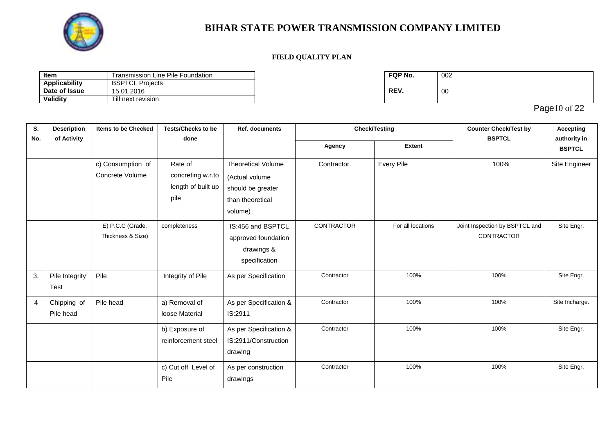

### **FIELD QUALITY PLAN**

| Item          | Transmission Line Pile Foundation | <b>FQP No.</b> | 002 |
|---------------|-----------------------------------|----------------|-----|
| Applicability | <b>BSPTCL</b><br>Proiects         |                |     |
| Date of Issue | 15.01.2016                        | REV.           | 00  |
| Validity      | Till next revision                |                |     |

| FQP No. | 002 |
|---------|-----|
| REV.    | 00  |

Page10 of 22

| S.  | <b>Description</b>       | <b>Items to be Checked</b>            | <b>Tests/Checks to be</b>                                  | <b>Ref. documents</b>                                                                           |                   | <b>Check/Testing</b> | <b>Counter Check/Test by</b>                        | <b>Accepting</b>              |  |
|-----|--------------------------|---------------------------------------|------------------------------------------------------------|-------------------------------------------------------------------------------------------------|-------------------|----------------------|-----------------------------------------------------|-------------------------------|--|
| No. | of Activity              |                                       | done                                                       |                                                                                                 | Agency            | <b>Extent</b>        | <b>BSPTCL</b>                                       | authority in<br><b>BSPTCL</b> |  |
|     |                          | c) Consumption of<br>Concrete Volume  | Rate of<br>concreting w.r.to<br>length of built up<br>pile | <b>Theoretical Volume</b><br>(Actual volume<br>should be greater<br>than theoretical<br>volume) | Contractor.       | Every Pile           | 100%                                                | Site Engineer                 |  |
|     |                          | E) P.C.C (Grade,<br>Thickness & Size) | completeness                                               | IS:456 and BSPTCL<br>approved foundation<br>drawings &<br>specification                         | <b>CONTRACTOR</b> | For all locations    | Joint Inspection by BSPTCL and<br><b>CONTRACTOR</b> | Site Engr.                    |  |
| 3.  | Pile Integrity<br>Test   | Pile                                  | Integrity of Pile                                          | As per Specification                                                                            | Contractor        | 100%                 | 100%                                                | Site Engr.                    |  |
| 4   | Chipping of<br>Pile head | Pile head                             | a) Removal of<br>loose Material                            | As per Specification &<br>IS:2911                                                               | Contractor        | 100%                 | 100%                                                | Site Incharge.                |  |
|     |                          |                                       | b) Exposure of<br>reinforcement steel                      | As per Specification &<br>IS:2911/Construction<br>drawing                                       | Contractor        | 100%                 | 100%                                                | Site Engr.                    |  |
|     |                          |                                       | c) Cut off Level of<br>Pile                                | As per construction<br>drawings                                                                 | Contractor        | 100%                 | 100%                                                | Site Engr.                    |  |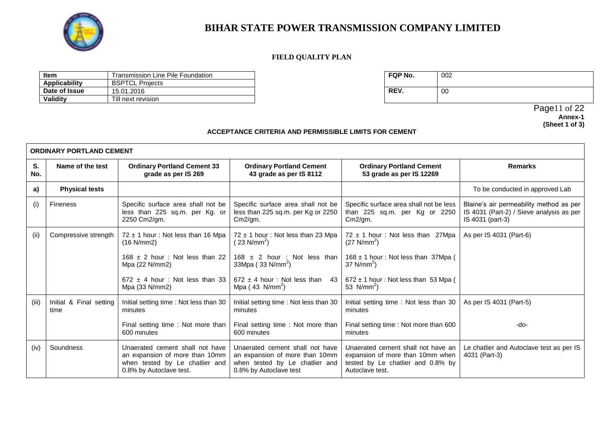

#### **FIELD QUALITY PLAN**

| Item          | Transmission Line Pile Foundation | <b>FQP No.</b> | 002 |
|---------------|-----------------------------------|----------------|-----|
| Applicability | <b>BSPTCLI</b><br>Projects        |                |     |
| Date of Issue | 15.01.2016                        | REV.           | 00  |
| Validity      | Till next revision                |                |     |

| FQP No. | 002 |
|---------|-----|
| REV.    | 00  |

Page11 of 22 **Annex-1 (Sheet 1 of 3)**

#### **ACCEPTANCE CRITERIA AND PERMISSIBLE LIMITS FOR CEMENT**

|           | <b>ORDINARY PORTLAND CEMENT</b> |                                                                                                                                |                                                                                                                               |                                                                                                                                |                                                                                                         |  |  |  |
|-----------|---------------------------------|--------------------------------------------------------------------------------------------------------------------------------|-------------------------------------------------------------------------------------------------------------------------------|--------------------------------------------------------------------------------------------------------------------------------|---------------------------------------------------------------------------------------------------------|--|--|--|
| S.<br>No. | Name of the test                | <b>Ordinary Portland Cement 33</b><br>grade as per IS 269                                                                      | <b>Ordinary Portland Cement</b><br>43 grade as per IS 8112                                                                    | <b>Ordinary Portland Cement</b><br>53 grade as per IS 12269                                                                    | <b>Remarks</b>                                                                                          |  |  |  |
| a)        | <b>Physical tests</b>           |                                                                                                                                |                                                                                                                               |                                                                                                                                | To be conducted in approved Lab                                                                         |  |  |  |
| (i)       | <b>Fineness</b>                 | Specific surface area shall not be<br>less than 225 sq.m. per Kg. or<br>2250 Cm2/gm.                                           | Specific surface area shall not be<br>less than 225 sq.m. per Kg or 2250<br>$Cm2$ /qm.                                        | Specific surface area shall not be less<br>than 225 sq.m. per Kg or 2250<br>Cm2/gm.                                            | Blaine's air permeability method as per<br>IS 4031 (Part-2) / Sieve analysis as per<br>IS 4031 (part-3) |  |  |  |
| (ii)      | Compressive strength            | $72 \pm 1$ hour: Not less than 16 Mpa<br>(16 N/mm2)                                                                            | $72 \pm 1$ hour: Not less than 23 Mpa<br>(23 N/mm <sup>2</sup> )                                                              | $72 \pm 1$ hour: Not less than 27Mpa<br>$(27 \text{ N/mm}^2)$                                                                  | As per IS 4031 (Part-6)                                                                                 |  |  |  |
|           |                                 | $168 \pm 2$ hour: Not less than 22<br>Mpa (22 N/mm2)                                                                           | $168 \pm 2$ hour : Not less than<br>33Mpa ( $33$ N/mm <sup>2</sup> )                                                          | $168 \pm 1$ hour: Not less than 37Mpa (<br>$37$ N/mm <sup>2</sup> )                                                            |                                                                                                         |  |  |  |
|           |                                 | 672 $\pm$ 4 hour : Not less than 33<br>Mpa $(33 N/mm2)$                                                                        | $672 \pm 4$ hour: Not less than<br>43<br>Mpa $(43 \text{ N/mm}^2)$                                                            | $672 \pm 1$ hour: Not less than 53 Mpa (<br>53 $N/mm2$                                                                         |                                                                                                         |  |  |  |
| (iii)     | Initial & Final setting<br>time | Initial setting time: Not less than 30<br>minutes                                                                              | Initial setting time: Not less than 30<br>minutes                                                                             | Initial setting time: Not less than 30<br>minutes                                                                              | As per IS 4031 (Part-5)                                                                                 |  |  |  |
|           |                                 | Final setting time : Not more than<br>600 minutes                                                                              | Final setting time: Not more than<br>600 minutes                                                                              | Final setting time : Not more than 600<br>minutes                                                                              | -do-                                                                                                    |  |  |  |
| (iv)      | Soundness                       | Unaerated cement shall not have<br>an expansion of more than 10mm<br>when tested by Le chatlier and<br>0.8% by Autoclave test. | Unaerated cement shall not have<br>an expansion of more than 10mm<br>when tested by Le chatlier and<br>0.8% by Autoclave test | Unaerated cement shall not have an<br>expansion of more than 10mm when<br>tested by Le chatlier and 0.8% by<br>Autoclave test. | Le chatlier and Autoclave test as per IS<br>4031 (Part-3)                                               |  |  |  |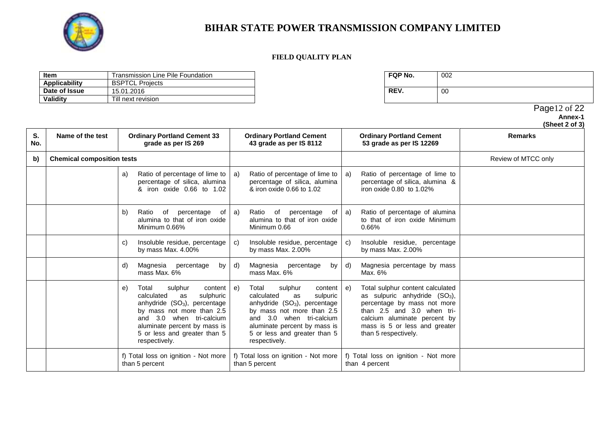

### **FIELD QUALITY PLAN**

| <b>Item</b>   | Transmission Line Pile Foundation | FQP No. | 002 |
|---------------|-----------------------------------|---------|-----|
| Applicability | <b>BSPTCL Projects</b>            |         |     |
| Date of Issue | 15.01.2016                        | REV.    | 00  |
| Validity      | Till next revision                |         |     |

| FQP No. | 002 |
|---------|-----|
| REV.    | 00  |

 Page12 of 22 **Annex-1**

|           |                                   |    |                                                                                                                                                                                                                                                      |    |                                                                                                                                                                                                                                                   |    |                                                                                                                                                                                                                           | (Sheet 2 of 3)      |
|-----------|-----------------------------------|----|------------------------------------------------------------------------------------------------------------------------------------------------------------------------------------------------------------------------------------------------------|----|---------------------------------------------------------------------------------------------------------------------------------------------------------------------------------------------------------------------------------------------------|----|---------------------------------------------------------------------------------------------------------------------------------------------------------------------------------------------------------------------------|---------------------|
| S.<br>No. | Name of the test                  |    | <b>Ordinary Portland Cement 33</b><br>grade as per IS 269                                                                                                                                                                                            |    | <b>Ordinary Portland Cement</b><br>43 grade as per IS 8112                                                                                                                                                                                        |    | <b>Ordinary Portland Cement</b><br>53 grade as per IS 12269                                                                                                                                                               | <b>Remarks</b>      |
| b)        | <b>Chemical composition tests</b> |    |                                                                                                                                                                                                                                                      |    |                                                                                                                                                                                                                                                   |    |                                                                                                                                                                                                                           | Review of MTCC only |
|           |                                   | a) | Ratio of percentage of lime to<br>percentage of silica, alumina<br>& iron oxide 0.66 to 1.02                                                                                                                                                         | a) | Ratio of percentage of lime to<br>percentage of silica, alumina<br>& iron oxide 0.66 to 1.02                                                                                                                                                      | a) | Ratio of percentage of lime to<br>percentage of silica, alumina &<br>iron oxide 0.80 to 1.02%                                                                                                                             |                     |
|           |                                   | b) | percentage<br>Ratio<br>of<br>of<br>alumina to that of iron oxide<br>Minimum 0.66%                                                                                                                                                                    | a) | percentage<br>Ratio<br>of<br>of<br>alumina to that of iron oxide<br>Minimum 0.66                                                                                                                                                                  | a) | Ratio of percentage of alumina<br>to that of iron oxide Minimum<br>0.66%                                                                                                                                                  |                     |
|           |                                   | C) | Insoluble residue, percentage<br>by mass Max. 4.00%                                                                                                                                                                                                  | C) | Insoluble residue, percentage<br>by mass Max. 2.00%                                                                                                                                                                                               | C) | Insoluble residue, percentage<br>by mass Max. $2.00\%$                                                                                                                                                                    |                     |
|           |                                   | d) | Magnesia<br>percentage<br>by<br>mass Max, 6%                                                                                                                                                                                                         | d) | Magnesia<br>percentage<br>by<br>mass Max. 6%                                                                                                                                                                                                      | d) | Magnesia percentage by mass<br>Max. 6%                                                                                                                                                                                    |                     |
|           |                                   | e) | Total<br>sulphur<br>content  <br>calculated<br>sulphuric<br>as<br>anhydride (SO <sub>3</sub> ), percentage<br>by mass not more than 2.5<br>and 3.0 when tri-calcium<br>aluminate percent by mass is<br>5 or less and greater than 5<br>respectively. | e) | Total<br>sulphur<br>content<br>calculated<br>sulpuric<br>as<br>anhydride (SO <sub>3</sub> ), percentage<br>by mass not more than 2.5<br>and 3.0 when tri-calcium<br>aluminate percent by mass is<br>5 or less and greater than 5<br>respectively. | e) | Total sulphur content calculated<br>as sulpuric anhydride $(SO3)$ ,<br>percentage by mass not more<br>than 2.5 and 3.0 when tri-<br>calcium aluminate percent by<br>mass is 5 or less and greater<br>than 5 respectively. |                     |
|           |                                   |    | f) Total loss on ignition - Not more<br>than 5 percent                                                                                                                                                                                               |    | f) Total loss on ignition - Not more<br>than 5 percent                                                                                                                                                                                            |    | f) Total loss on ignition - Not more<br>than 4 percent                                                                                                                                                                    |                     |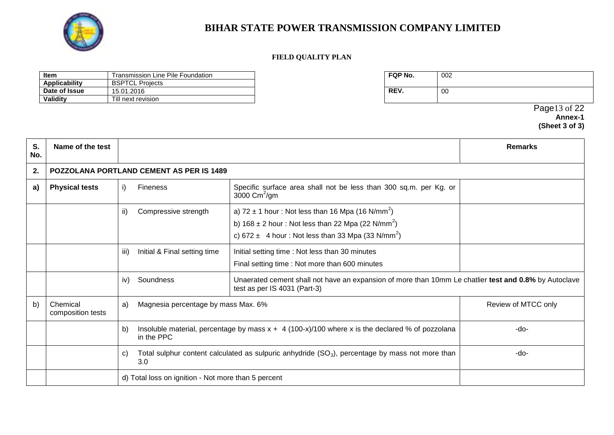

### **FIELD QUALITY PLAN**

| Item          | Transmission Line Pile Foundation | FQP No. | 002                           |
|---------------|-----------------------------------|---------|-------------------------------|
| Applicability | <b>BSPTCL Projects</b>            |         |                               |
| Date of Issue | 15.01.2016                        | REV.    | -00                           |
| Validity      | Il next revision                  |         |                               |
|               |                                   |         | of $22$<br>Paae1 <sub>2</sub> |

 Page13 of 22 **Annex-1 (Sheet 3 of 3)**

| S.<br>No. | Name of the test              |                                                 |                                                                                                                                                                                                                                    |                                                                                                       | <b>Remarks</b>      |  |  |  |
|-----------|-------------------------------|-------------------------------------------------|------------------------------------------------------------------------------------------------------------------------------------------------------------------------------------------------------------------------------------|-------------------------------------------------------------------------------------------------------|---------------------|--|--|--|
| 2.        |                               | <b>POZZOLANA PORTLAND CEMENT AS PER IS 1489</b> |                                                                                                                                                                                                                                    |                                                                                                       |                     |  |  |  |
| a)        | <b>Physical tests</b>         | i)                                              | <b>Fineness</b>                                                                                                                                                                                                                    | Specific surface area shall not be less than 300 sq.m. per Kg. or<br>3000 $\text{Cm}^2/\text{gm}$     |                     |  |  |  |
|           |                               | ii)                                             | a) $72 \pm 1$ hour: Not less than 16 Mpa (16 N/mm <sup>2</sup> )<br>Compressive strength<br>b) $168 \pm 2$ hour: Not less than 22 Mpa (22 N/mm <sup>2</sup> )<br>c) 672 $\pm$ 4 hour: Not less than 33 Mpa (33 N/mm <sup>2</sup> ) |                                                                                                       |                     |  |  |  |
|           |                               | iii)                                            | Initial & Final setting time                                                                                                                                                                                                       | Initial setting time: Not less than 30 minutes<br>Final setting time : Not more than 600 minutes      |                     |  |  |  |
|           |                               | iv)                                             | Soundness                                                                                                                                                                                                                          | Unaerated cement shall not have an expansion of more than 10mm Le chatlier test and 0.8% by Autoclave |                     |  |  |  |
| b)        | Chemical<br>composition tests | a)                                              | Magnesia percentage by mass Max. 6%                                                                                                                                                                                                |                                                                                                       | Review of MTCC only |  |  |  |
|           |                               | b)                                              | Insoluble material, percentage by mass $x + 4$ (100-x)/100 where x is the declared % of pozzolana<br>in the PPC                                                                                                                    |                                                                                                       | -do-                |  |  |  |
|           |                               | C)                                              | 3.0                                                                                                                                                                                                                                | Total sulphur content calculated as sulpuric anhydride $(SO_3)$ , percentage by mass not more than    | -do-                |  |  |  |
|           |                               |                                                 | d) Total loss on ignition - Not more than 5 percent                                                                                                                                                                                |                                                                                                       |                     |  |  |  |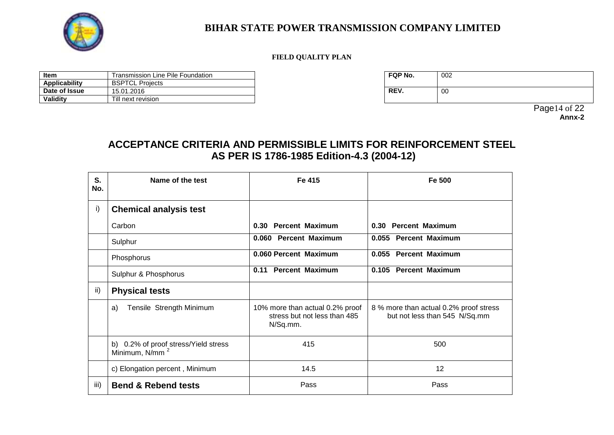

### **FIELD QUALITY PLAN**

| Item          | Line Pile Foundation<br>Transmission i | FQP No. | 002 |
|---------------|----------------------------------------|---------|-----|
| Applicability | <b>BSPTCL Projects</b>                 |         |     |
| Date of Issue | 15.01.2016                             | REV.    | 00  |
| Validity      | Till next revision                     |         |     |

| FQP No. | 002 |
|---------|-----|
| REV.    | 00  |

Page14 of 22 **Annx-2**

## **ACCEPTANCE CRITERIA AND PERMISSIBLE LIMITS FOR REINFORCEMENT STEEL AS PER IS 1786-1985 Edition-4.3 (2004-12)**

| S.<br>No. | Name of the test                                                   | Fe 415                                                                      | Fe 500                                                                  |
|-----------|--------------------------------------------------------------------|-----------------------------------------------------------------------------|-------------------------------------------------------------------------|
| i)        | <b>Chemical analysis test</b>                                      |                                                                             |                                                                         |
|           | Carbon                                                             | 0.30 Percent Maximum                                                        | 0.30 Percent Maximum                                                    |
|           | Sulphur                                                            | 0.060 Percent Maximum                                                       | 0.055 Percent Maximum                                                   |
|           | Phosphorus                                                         | 0.060 Percent Maximum                                                       | 0.055 Percent Maximum                                                   |
|           | Sulphur & Phosphorus                                               | <b>Percent Maximum</b><br>0.11                                              | 0.105 Percent Maximum                                                   |
| ii)       | <b>Physical tests</b>                                              |                                                                             |                                                                         |
|           | Tensile Strength Minimum<br>a)                                     | 10% more than actual 0.2% proof<br>stress but not less than 485<br>N/Sq.mm. | 8 % more than actual 0.2% proof stress<br>but not less than 545 N/Sq.mm |
|           | b) 0.2% of proof stress/Yield stress<br>Minimum, N/mm <sup>2</sup> | 415                                                                         | 500                                                                     |
|           | c) Elongation percent, Minimum                                     | 14.5                                                                        | 12                                                                      |
| iii)      | <b>Bend &amp; Rebend tests</b>                                     | Pass                                                                        | Pass                                                                    |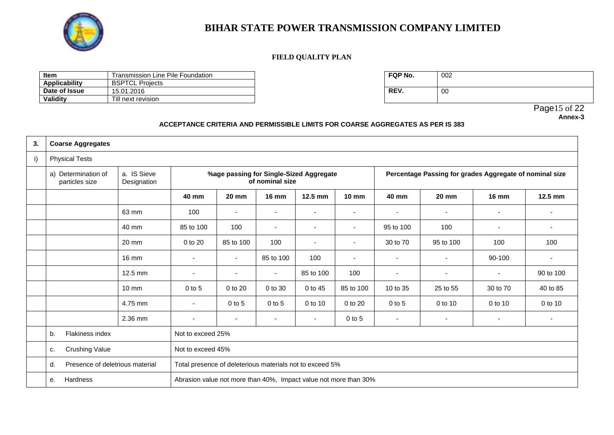

### **FIELD QUALITY PLAN**

| Item<br>Transmission Line Pile Foundation |                        | FQP No. | 002 |
|-------------------------------------------|------------------------|---------|-----|
| <b>Applicability</b>                      | <b>BSPTCL Projects</b> |         |     |
| Date of Issue                             | 15.01.2016             | REV.    | 00  |
| Validity                                  | Till next revision     |         |     |

| FQP No. | 002 |
|---------|-----|
| REV.    | 00  |

Page15 of 22 **Annex-3**

#### **ACCEPTANCE CRITERIA AND PERMISSIBLE LIMITS FOR COARSE AGGREGATES AS PER IS 383**

| 3. | <b>Coarse Aggregates</b>                         |                            |                                                                  |                          |                          |                                         |                          |                |                                                         |                          |                          |
|----|--------------------------------------------------|----------------------------|------------------------------------------------------------------|--------------------------|--------------------------|-----------------------------------------|--------------------------|----------------|---------------------------------------------------------|--------------------------|--------------------------|
| i) | <b>Physical Tests</b>                            |                            |                                                                  |                          |                          |                                         |                          |                |                                                         |                          |                          |
|    | a) Determination of<br>particles size            | a. IS Sieve<br>Designation |                                                                  |                          | of nominal size          | %age passing for Single-Sized Aggregate |                          |                | Percentage Passing for grades Aggregate of nominal size |                          |                          |
|    |                                                  |                            | 40 mm                                                            | <b>20 mm</b>             | <b>16 mm</b>             | 12.5 mm                                 | $10 \text{ mm}$          | 40 mm          | <b>20 mm</b>                                            | <b>16 mm</b>             | 12.5 mm                  |
|    |                                                  | 63 mm                      | 100                                                              | $\overline{\phantom{a}}$ | $\blacksquare$           | $\blacksquare$                          | $\blacksquare$           | $\blacksquare$ | $\overline{\phantom{a}}$                                | $\overline{\phantom{0}}$ |                          |
|    |                                                  | 40 mm                      | 85 to 100                                                        | 100                      | $\overline{\phantom{a}}$ | $\overline{\phantom{a}}$                | $\overline{\phantom{a}}$ | 95 to 100      | 100                                                     | ٠                        | $\overline{\phantom{0}}$ |
|    |                                                  | 20 mm                      | 0 to 20                                                          | 85 to 100                | 100                      | $\overline{\phantom{a}}$                | $\overline{\phantom{a}}$ | 30 to 70       | 95 to 100                                               | 100                      | 100                      |
|    |                                                  | $16 \text{ mm}$            | $\blacksquare$                                                   | $\blacksquare$           | 85 to 100                | 100                                     | $\overline{\phantom{a}}$ | $\blacksquare$ | $\sim$                                                  | 90-100                   |                          |
|    |                                                  | 12.5 mm                    | $\overline{\phantom{a}}$                                         | $\overline{\phantom{a}}$ | $\overline{\phantom{a}}$ | 85 to 100                               | 100                      | ٠              | $\overline{\phantom{a}}$                                | ٠                        | 90 to 100                |
|    |                                                  | $10 \text{ mm}$            | $0$ to 5                                                         | 0 to 20                  | 0 to 30                  | 0 to 45                                 | 85 to 100                | 10 to 35       | 25 to 55                                                | 30 to 70                 | 40 to 85                 |
|    |                                                  | 4.75 mm                    | $\blacksquare$                                                   | $0$ to 5                 | $0$ to 5                 | 0 to 10                                 | 0 to 20                  | $0$ to 5       | 0 to 10                                                 | 0 to 10                  | 0 to 10                  |
|    |                                                  | 2.36 mm                    | $\blacksquare$                                                   |                          | $\overline{\phantom{a}}$ | $\overline{\phantom{0}}$                | $0$ to $5$               | ٠              | $\overline{\phantom{a}}$                                | $\blacksquare$           |                          |
|    | Flakiness index<br>Not to exceed 25%<br>b.       |                            |                                                                  |                          |                          |                                         |                          |                |                                                         |                          |                          |
|    | <b>Crushing Value</b><br>Not to exceed 45%<br>c. |                            |                                                                  |                          |                          |                                         |                          |                |                                                         |                          |                          |
|    | Presence of deletrious material<br>d.            |                            | Total presence of deleterious materials not to exceed 5%         |                          |                          |                                         |                          |                |                                                         |                          |                          |
|    | <b>Hardness</b><br>е.                            |                            | Abrasion value not more than 40%, Impact value not more than 30% |                          |                          |                                         |                          |                |                                                         |                          |                          |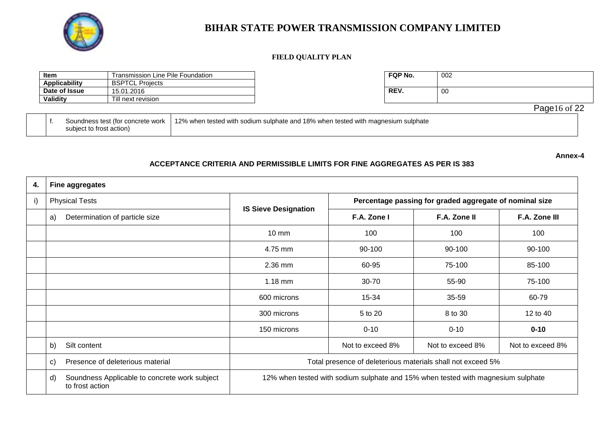

#### **FIELD QUALITY PLAN**

| Item                                                                                                                    | Transmission Line Pile Foundation |  |  | FQP No. | 002 |              |
|-------------------------------------------------------------------------------------------------------------------------|-----------------------------------|--|--|---------|-----|--------------|
| Applicability<br><b>BSPTCL Projects</b>                                                                                 |                                   |  |  |         |     |              |
| Date of Issue<br>15.01.2016                                                                                             |                                   |  |  | REV.    | -00 |              |
| <b>Validity</b>                                                                                                         | Till next revision_               |  |  |         |     |              |
|                                                                                                                         |                                   |  |  |         |     | Page16 of 22 |
| 1.12% when tested with sodium sulphate and 18% when tested with magnesium sulphate<br>Soundness test (for concrete work |                                   |  |  |         |     |              |

|                          | Soundness test (for concrete work   12% when tested with sodium sulphate and 18% when tested with magnesium sulphate |
|--------------------------|----------------------------------------------------------------------------------------------------------------------|
| subject to frost action) |                                                                                                                      |

**Annex-4**

### **ACCEPTANCE CRITERIA AND PERMISSIBLE LIMITS FOR FINE AGGREGATES AS PER IS 383**

| 4. | <b>Fine aggregates</b>                                                 |                                                                                  |                                                         |                  |                  |  |
|----|------------------------------------------------------------------------|----------------------------------------------------------------------------------|---------------------------------------------------------|------------------|------------------|--|
| i) | <b>Physical Tests</b>                                                  |                                                                                  | Percentage passing for graded aggregate of nominal size |                  |                  |  |
|    | Determination of particle size<br>a)                                   | <b>IS Sieve Designation</b>                                                      | F.A. Zone I                                             | F.A. Zone II     | F.A. Zone III    |  |
|    |                                                                        | $10 \text{ mm}$                                                                  | 100                                                     | 100              | 100              |  |
|    |                                                                        | 4.75 mm                                                                          | 90-100                                                  | 90-100           | 90-100           |  |
|    |                                                                        | $2.36$ mm                                                                        | 60-95                                                   | 75-100           | 85-100           |  |
|    |                                                                        | $1.18$ mm                                                                        | 30-70                                                   | 55-90            | 75-100           |  |
|    |                                                                        | 600 microns                                                                      | 15-34                                                   | 35-59            | 60-79            |  |
|    |                                                                        | 300 microns                                                                      | 5 to 20                                                 | 8 to 30          | 12 to 40         |  |
|    |                                                                        | 150 microns                                                                      | $0 - 10$                                                | $0 - 10$         | $0 - 10$         |  |
|    | Silt content<br>b)                                                     |                                                                                  | Not to exceed 8%                                        | Not to exceed 8% | Not to exceed 8% |  |
|    | Presence of deleterious material<br>C)                                 | Total presence of deleterious materials shall not exceed 5%                      |                                                         |                  |                  |  |
|    | Soundness Applicable to concrete work subject<br>d)<br>to frost action | 12% when tested with sodium sulphate and 15% when tested with magnesium sulphate |                                                         |                  |                  |  |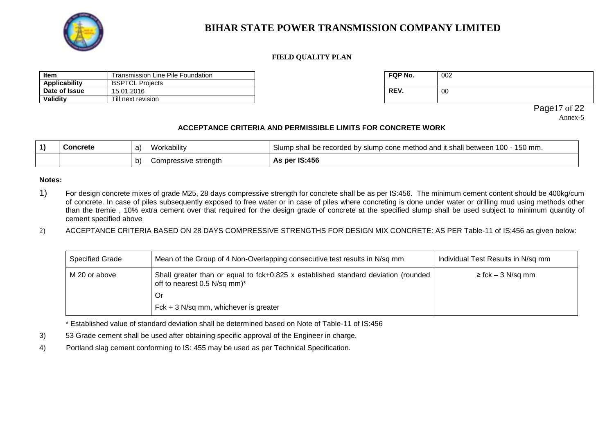

#### **FIELD QUALITY PLAN**

| <b>Item</b>   | Transmission Line Pile Foundation | FQP No. | 002 |
|---------------|-----------------------------------|---------|-----|
| Applicability | <b>BSPTCL Projects</b>            |         |     |
| Date of Issue | 15.01.2016                        | REV.    | 00  |
| Validity      | Till next revision                |         |     |

| FQP No. | 002 |
|---------|-----|
| REV.    | 00  |

Page17 of 22 Annex-5

### **ACCEPTANCE CRITERIA AND PERMISSIBLE LIMITS FOR CONCRETE WORK**

| Concrete | Workability<br>a)          | Slump shall be recorded by slump cone method and it shall between 100 - 150 mm. |
|----------|----------------------------|---------------------------------------------------------------------------------|
|          | Compressive strength<br>b) | As per IS:456                                                                   |

#### **Notes:**

1) For design concrete mixes of grade M25, 28 days compressive strength for concrete shall be as per IS:456. The minimum cement content should be 400kg/cum of concrete. In case of piles subsequently exposed to free water or in case of piles where concreting is done under water or drilling mud using methods other than the tremie , 10% extra cement over that required for the design grade of concrete at the specified slump shall be used subject to minimum quantity of cement specified above

2) ACCEPTANCE CRITERIA BASED ON 28 DAYS COMPRESSIVE STRENGTHS FOR DESIGN MIX CONCRETE: AS PER Table-11 of IS;456 as given below:

| <b>Specified Grade</b> | Mean of the Group of 4 Non-Overlapping consecutive test results in N/sq mm                                           | Individual Test Results in N/sq mm |
|------------------------|----------------------------------------------------------------------------------------------------------------------|------------------------------------|
| M 20 or above          | Shall greater than or equal to $fck+0.825$ x established standard deviation (rounded<br>off to nearest 0.5 N/sq mm)* | $\ge$ fck – 3 N/sq mm              |
|                        | 0r                                                                                                                   |                                    |
|                        | $Fck + 3 N/sq mm$ , whichever is greater                                                                             |                                    |

\* Established value of standard deviation shall be determined based on Note of Table-11 of IS:456

- 3) 53 Grade cement shall be used after obtaining specific approval of the Engineer in charge.
- 4) Portland slag cement conforming to IS: 455 may be used as per Technical Specification.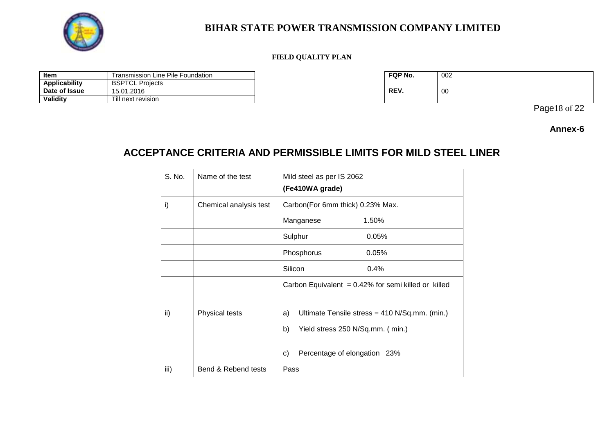

### **FIELD QUALITY PLAN**

| Item          | Line Pile Foundation<br>Transmission i | FQP No. | 002 |
|---------------|----------------------------------------|---------|-----|
| Applicability | <b>BSPTCL Projects</b>                 |         |     |
| Date of Issue | 15.01.2016                             | REV.    | 00  |
| Validity      | Till next revision                     |         |     |

| FQP No. | 002 |
|---------|-----|
| REV.    | 00  |

Page18 of 22

### **Annex-6**

# **ACCEPTANCE CRITERIA AND PERMISSIBLE LIMITS FOR MILD STEEL LINER**

| S. No. | Name of the test       | Mild steel as per IS 2062<br>(Fe410WA grade)           |  |
|--------|------------------------|--------------------------------------------------------|--|
| i)     | Chemical analysis test | Carbon(For 6mm thick) 0.23% Max.                       |  |
|        |                        | Manganese<br>1.50%                                     |  |
|        |                        | Sulphur<br>0.05%                                       |  |
|        |                        | Phosphorus<br>0.05%                                    |  |
|        |                        | Silicon<br>0.4%                                        |  |
|        |                        | Carbon Equivalent = $0.42\%$ for semi killed or killed |  |
| ii)    | Physical tests         | Ultimate Tensile stress = 410 N/Sq.mm. (min.)<br>a)    |  |
|        |                        | Yield stress 250 N/Sq.mm. (min.)<br>b)                 |  |
|        |                        | Percentage of elongation 23%<br>C)                     |  |
| iii)   | Bend & Rebend tests    | Pass                                                   |  |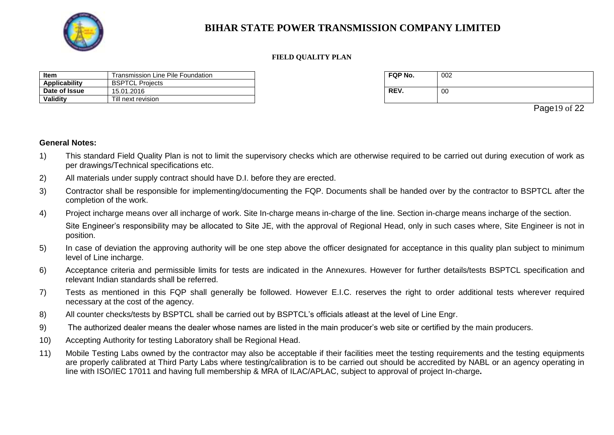

#### **FIELD QUALITY PLAN**

| Item                 | Transmission Line Pile Foundation | FQP No. | 002 |
|----------------------|-----------------------------------|---------|-----|
| <b>Applicability</b> | <b>BSPTCL Projects</b>            |         |     |
| Date of Issue        | 15.01.2016                        | REV.    | 00  |
| Validitv             | Till next revision                |         |     |

| FQP No. | 002 |
|---------|-----|
| REV.    | 00  |

Page19 of 22

### **General Notes:**

- 1) This standard Field Quality Plan is not to limit the supervisory checks which are otherwise required to be carried out during execution of work as per drawings/Technical specifications etc.
- 2) All materials under supply contract should have D.I. before they are erected.
- 3) Contractor shall be responsible for implementing/documenting the FQP. Documents shall be handed over by the contractor to BSPTCL after the completion of the work.
- 4) Project incharge means over all incharge of work. Site In-charge means in-charge of the line. Section in-charge means incharge of the section.

Site Engineer's responsibility may be allocated to Site JE, with the approval of Regional Head, only in such cases where, Site Engineer is not in position.

- 5) In case of deviation the approving authority will be one step above the officer designated for acceptance in this quality plan subject to minimum level of Line incharge.
- 6) Acceptance criteria and permissible limits for tests are indicated in the Annexures. However for further details/tests BSPTCL specification and relevant Indian standards shall be referred.
- 7) Tests as mentioned in this FQP shall generally be followed. However E.I.C. reserves the right to order additional tests wherever required necessary at the cost of the agency.
- 8) All counter checks/tests by BSPTCL shall be carried out by BSPTCL's officials atleast at the level of Line Engr.
- 9) The authorized dealer means the dealer whose names are listed in the main producer's web site or certified by the main producers.
- 10) Accepting Authority for testing Laboratory shall be Regional Head.
- 11) Mobile Testing Labs owned by the contractor may also be acceptable if their facilities meet the testing requirements and the testing equipments are properly calibrated at Third Party Labs where testing/calibration is to be carried out should be accredited by NABL or an agency operating in line with ISO/IEC 17011 and having full membership & MRA of ILAC/APLAC, subject to approval of project In-charge**.**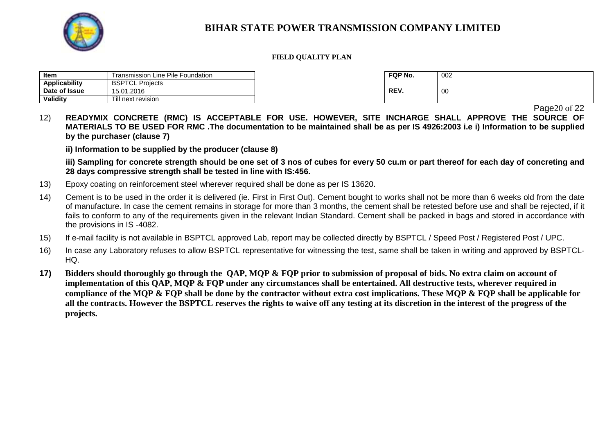

#### **FIELD QUALITY PLAN**

| Item                 | Transmission Line Pile Foundation | <b>FQP No.</b> | 002 |
|----------------------|-----------------------------------|----------------|-----|
| <b>Applicability</b> | <b>BSPTCL Projects</b>            |                |     |
| Date of Issue        | 15.01.2016                        | REV.           | 00  |
| Validity             | Till next revision                |                |     |

| FQP No. | 002 |
|---------|-----|
| REV.    | 00  |

Page<sub>20</sub> of 22

12) **READYMIX CONCRETE (RMC) IS ACCEPTABLE FOR USE. HOWEVER, SITE INCHARGE SHALL APPROVE THE SOURCE OF MATERIALS TO BE USED FOR RMC .The documentation to be maintained shall be as per IS 4926:2003 i.e i) Information to be supplied by the purchaser (clause 7)**

**ii) Information to be supplied by the producer (clause 8)**

**iii) Sampling for concrete strength should be one set of 3 nos of cubes for every 50 cu.m or part thereof for each day of concreting and 28 days compressive strength shall be tested in line with IS:456.**

- 13) Epoxy coating on reinforcement steel wherever required shall be done as per IS 13620.
- 14) Cement is to be used in the order it is delivered (ie. First in First Out). Cement bought to works shall not be more than 6 weeks old from the date of manufacture. In case the cement remains in storage for more than 3 months, the cement shall be retested before use and shall be rejected, if it fails to conform to any of the requirements given in the relevant Indian Standard. Cement shall be packed in bags and stored in accordance with the provisions in IS -4082.
- 15) If e-mail facility is not available in BSPTCL approved Lab, report may be collected directly by BSPTCL / Speed Post / Registered Post / UPC.
- 16) In case any Laboratory refuses to allow BSPTCL representative for witnessing the test, same shall be taken in writing and approved by BSPTCL-HQ.
- **17) Bidders should thoroughly go through the QAP, MQP & FQP prior to submission of proposal of bids. No extra claim on account of implementation of this QAP, MQP & FQP under any circumstances shall be entertained. All destructive tests, wherever required in compliance of the MQP & FQP shall be done by the contractor without extra cost implications. These MQP & FQP shall be applicable for all the contracts. However the BSPTCL reserves the rights to waive off any testing at its discretion in the interest of the progress of the projects.**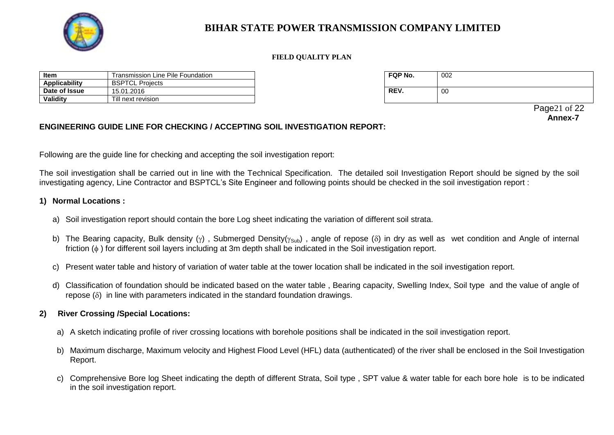

#### **FIELD QUALITY PLAN**

| Item          | Line Pile Foundation<br>Transmission | <b>FQP No.</b> | 002 |
|---------------|--------------------------------------|----------------|-----|
| Applicability | <b>BSPTCL</b><br>Proiects            |                |     |
| Date of Issue | 15.01.2016                           | REV.           | 00  |
| Validity      | Till next revision                   |                |     |

| FQP No. | 002 |
|---------|-----|
| REV.    | 00  |

 Page21 of 22 **Annex-7**

### **ENGINEERING GUIDE LINE FOR CHECKING / ACCEPTING SOIL INVESTIGATION REPORT:**

Following are the guide line for checking and accepting the soil investigation report:

The soil investigation shall be carried out in line with the Technical Specification. The detailed soil Investigation Report should be signed by the soil investigating agency, Line Contractor and BSPTCL's Site Engineer and following points should be checked in the soil investigation report :

### **1) Normal Locations :**

- a) Soil investigation report should contain the bore Log sheet indicating the variation of different soil strata.
- b) The Bearing capacity, Bulk density ( $\gamma$ ), Submerged Density( $\gamma_{Sub}$ ), angle of repose ( $\delta$ ) in dry as well as wet condition and Angle of internal friction  $(\phi)$  for different soil layers including at 3m depth shall be indicated in the Soil investigation report.
- c) Present water table and history of variation of water table at the tower location shall be indicated in the soil investigation report.
- d) Classification of foundation should be indicated based on the water table , Bearing capacity, Swelling Index, Soil type and the value of angle of  $r^2$  repose ( $\delta$ ) in line with parameters indicated in the standard foundation drawings.

### **2) River Crossing /Special Locations:**

- a) A sketch indicating profile of river crossing locations with borehole positions shall be indicated in the soil investigation report.
- b) Maximum discharge, Maximum velocity and Highest Flood Level (HFL) data (authenticated) of the river shall be enclosed in the Soil Investigation Report.
- c) Comprehensive Bore log Sheet indicating the depth of different Strata, Soil type , SPT value & water table for each bore hole is to be indicated in the soil investigation report.